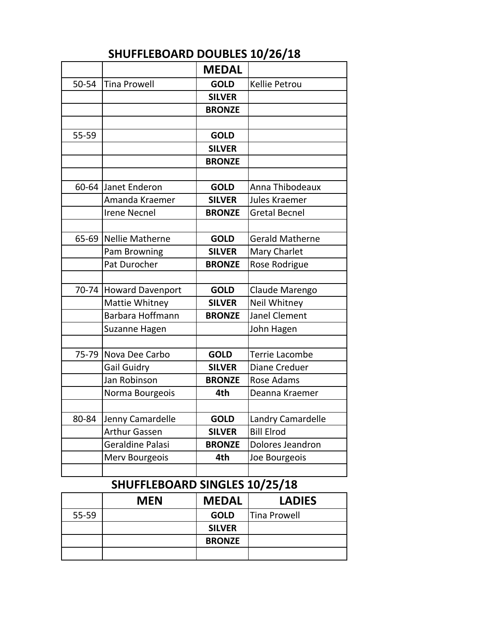## **SHUFFLEBOARD DOUBLES 10/26/18**

|       |                                | <b>MEDAL</b>  |                        |
|-------|--------------------------------|---------------|------------------------|
| 50-54 | <b>Tina Prowell</b>            | <b>GOLD</b>   | <b>Kellie Petrou</b>   |
|       |                                | <b>SILVER</b> |                        |
|       |                                | <b>BRONZE</b> |                        |
|       |                                |               |                        |
| 55-59 |                                | <b>GOLD</b>   |                        |
|       |                                | <b>SILVER</b> |                        |
|       |                                | <b>BRONZE</b> |                        |
|       |                                |               |                        |
| 60-64 | Janet Enderon                  | <b>GOLD</b>   | Anna Thibodeaux        |
|       | Amanda Kraemer                 | <b>SILVER</b> | Jules Kraemer          |
|       | <b>Irene Necnel</b>            | <b>BRONZE</b> | <b>Gretal Becnel</b>   |
|       |                                |               |                        |
| 65-69 | <b>Nellie Matherne</b>         | <b>GOLD</b>   | <b>Gerald Matherne</b> |
|       | Pam Browning                   | <b>SILVER</b> | <b>Mary Charlet</b>    |
|       | Pat Durocher                   | <b>BRONZE</b> | Rose Rodrigue          |
|       |                                |               |                        |
| 70-74 | <b>Howard Davenport</b>        | <b>GOLD</b>   | Claude Marengo         |
|       | Mattie Whitney                 | <b>SILVER</b> | Neil Whitney           |
|       | Barbara Hoffmann               | <b>BRONZE</b> | <b>Janel Clement</b>   |
|       | Suzanne Hagen                  |               | John Hagen             |
|       |                                |               |                        |
|       | 75-79 Nova Dee Carbo           | <b>GOLD</b>   | <b>Terrie Lacombe</b>  |
|       | <b>Gail Guidry</b>             | <b>SILVER</b> | <b>Diane Creduer</b>   |
|       | Jan Robinson                   | <b>BRONZE</b> | Rose Adams             |
|       | Norma Bourgeois                | 4th           | Deanna Kraemer         |
|       |                                |               |                        |
| 80-84 | Jenny Camardelle               | <b>GOLD</b>   | Landry Camardelle      |
|       | <b>Arthur Gassen</b>           | <b>SILVER</b> | <b>Bill Elrod</b>      |
|       | Geraldine Palasi               | <b>BRONZE</b> | Dolores Jeandron       |
|       | Merv Bourgeois                 | 4th           | Joe Bourgeois          |
|       |                                |               |                        |
|       | CHILEELEROADD CINCLES 10/25/10 |               |                        |

## **SHUFFLEBOARD SINGLES 10/25/18**

|       | <b>MEN</b> | <b>MEDAL</b>  | <b>LADIES</b>       |
|-------|------------|---------------|---------------------|
| 55-59 |            | <b>GOLD</b>   | <b>Tina Prowell</b> |
|       |            | <b>SILVER</b> |                     |
|       |            | <b>BRONZE</b> |                     |
|       |            |               |                     |